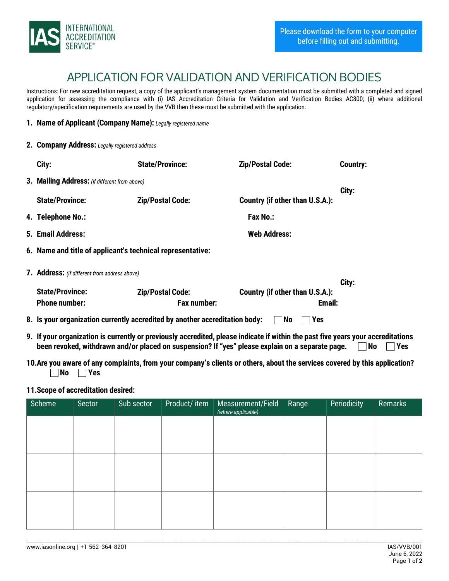

## APPLICATION FOR VALIDATION AND VERIFICATION BODIES

Instructions: For new accreditation request, a copy of the applicant's management system documentation must be submitted with a completed and signed application for assessing the compliance with (i) IAS Accreditation Criteria for Validation and Verification Bodies AC800; (ii) where additional regulatory/specification requirements are used by the VVB then these must be submitted with the application.

## 1. Name of Applicant (Company Name): *Legally registered name*

|  | 2. Company Address: Legally registered address                                                                                   |                                                            |                                 |                 |  |  |  |  |
|--|----------------------------------------------------------------------------------------------------------------------------------|------------------------------------------------------------|---------------------------------|-----------------|--|--|--|--|
|  | City:                                                                                                                            | <b>State/Province:</b>                                     | <b>Zip/Postal Code:</b>         | <b>Country:</b> |  |  |  |  |
|  | 3. Mailing Address: (if different from above)                                                                                    |                                                            |                                 |                 |  |  |  |  |
|  | <b>State/Province:</b>                                                                                                           | <b>Zip/Postal Code:</b>                                    | Country (if other than U.S.A.): | City:           |  |  |  |  |
|  | 4. Telephone No.:                                                                                                                |                                                            | <b>Fax No.:</b>                 |                 |  |  |  |  |
|  | 5. Email Address:                                                                                                                |                                                            | <b>Web Address:</b>             |                 |  |  |  |  |
|  |                                                                                                                                  | 6. Name and title of applicant's technical representative: |                                 |                 |  |  |  |  |
|  | 7. Address: (if different from address above)                                                                                    |                                                            |                                 |                 |  |  |  |  |
|  |                                                                                                                                  |                                                            |                                 | City:           |  |  |  |  |
|  | <b>State/Province:</b>                                                                                                           | <b>Zip/Postal Code:</b>                                    | Country (if other than U.S.A.): |                 |  |  |  |  |
|  | <b>Phone number:</b>                                                                                                             | <b>Fax number:</b>                                         | Email:                          |                 |  |  |  |  |
|  | 8. Is your organization currently accredited by another accreditation body:<br> No<br><b>Yes</b>                                 |                                                            |                                 |                 |  |  |  |  |
|  | 9. If your organization is currently or previously accredited, please indicate if within the past five years your accreditations |                                                            |                                 |                 |  |  |  |  |

been revoked, withdrawn and/or placed on suspension? If "yes" please explain on a separate page.  $\Box$  No  $\Box$  Yes 10.Are you aware of any complaints, from your company's clients or others, about the services covered by this application?

11.Scope of accreditation desired:

 $\neg$ No  $\neg$ Yes

| Scheme | Sector | Sub sector | Product/item | Measurement/Field<br>(where applicable) | Range | <b>Periodicity</b> | Remarks |
|--------|--------|------------|--------------|-----------------------------------------|-------|--------------------|---------|
|        |        |            |              |                                         |       |                    |         |
|        |        |            |              |                                         |       |                    |         |
|        |        |            |              |                                         |       |                    |         |
|        |        |            |              |                                         |       |                    |         |
|        |        |            |              |                                         |       |                    |         |
|        |        |            |              |                                         |       |                    |         |

\_\_\_\_\_\_\_\_\_\_\_\_\_\_\_\_\_\_\_\_\_\_\_\_\_\_\_\_\_\_\_\_\_\_\_\_\_\_\_\_\_\_\_\_\_\_\_\_\_\_\_\_\_\_\_\_\_\_\_\_\_\_\_\_\_\_\_\_\_\_\_\_\_\_\_\_\_\_\_\_\_\_\_\_\_\_\_\_\_\_\_\_\_\_\_\_\_\_\_\_\_\_\_\_\_\_\_\_\_\_\_\_\_\_\_\_\_\_\_\_\_\_\_\_\_\_\_\_\_\_\_\_\_\_\_\_\_\_\_\_\_\_\_\_\_\_\_\_